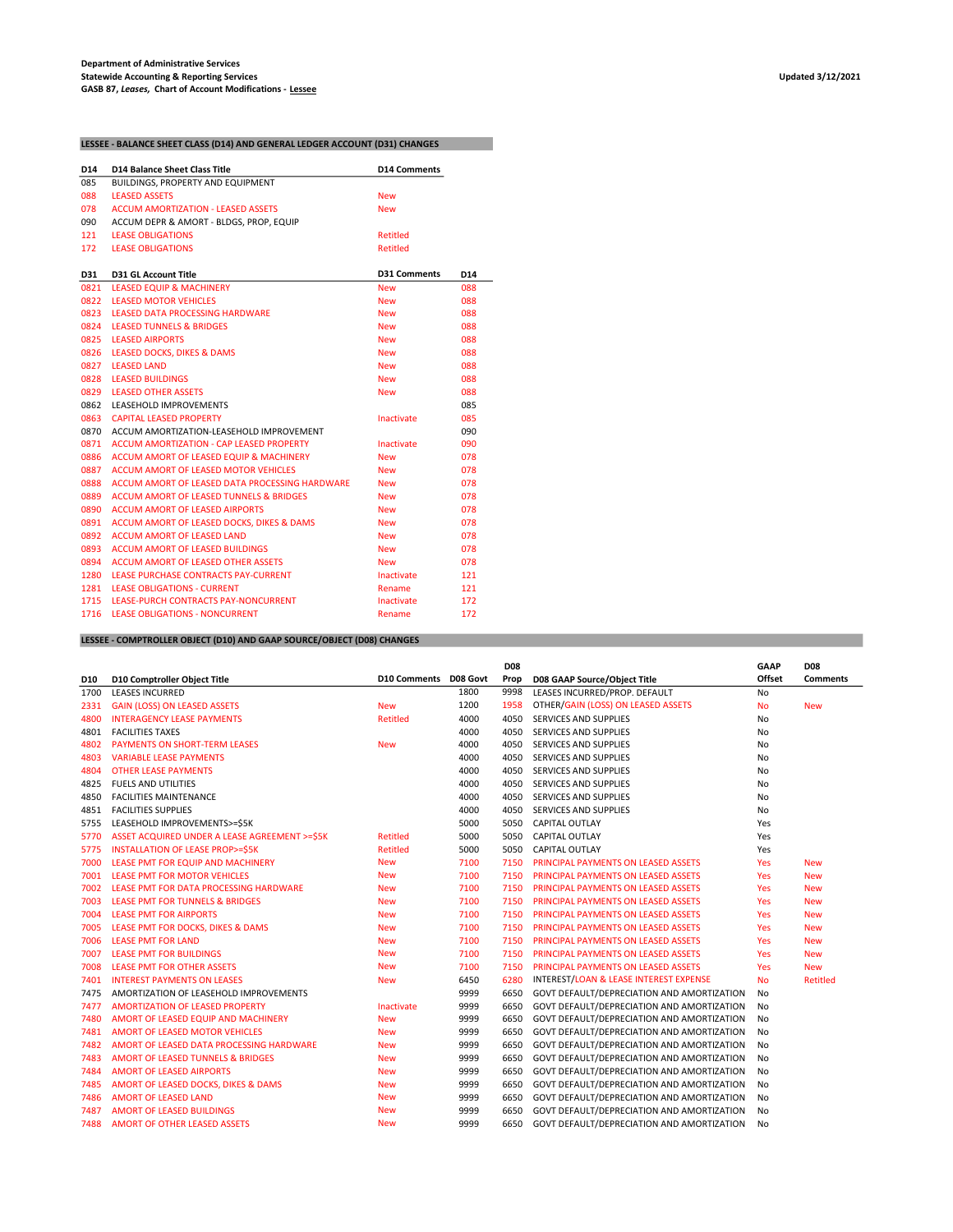## LESSEE - BALANCE SHEET CLASS (D14) AND GENERAL LEDGER ACCOUNT (D31) CHANGES

| D14  | <b>D14 Balance Sheet Class Title</b>               | D <sub>14</sub> Comments |                 |
|------|----------------------------------------------------|--------------------------|-----------------|
| 085  | BUILDINGS, PROPERTY AND EQUIPMENT                  |                          |                 |
| 088  | <b>LEASED ASSETS</b>                               | <b>New</b>               |                 |
| 078  | <b>ACCUM AMORTIZATION - LEASED ASSETS</b>          | <b>New</b>               |                 |
| 090  | ACCUM DEPR & AMORT - BLDGS, PROP, EQUIP            |                          |                 |
| 121  | <b>LEASE OBLIGATIONS</b>                           | Retitled                 |                 |
| 172  | <b>LEASE OBLIGATIONS</b>                           | Retitled                 |                 |
| D31  | <b>D31 GL Account Title</b>                        | <b>D31 Comments</b>      | D <sub>14</sub> |
| 0821 | <b>LEASED EQUIP &amp; MACHINERY</b>                | <b>New</b>               | 088             |
| 0822 | <b>LEASED MOTOR VEHICLES</b>                       | <b>New</b>               | 088             |
| 0823 | <b>LEASED DATA PROCESSING HARDWARE</b>             | <b>New</b>               | 088             |
| 0824 | <b>LEASED TUNNELS &amp; BRIDGES</b>                | <b>New</b>               | 088             |
|      | 0825 LEASED AIRPORTS                               | <b>New</b>               | 088             |
|      | 0826 LEASED DOCKS, DIKES & DAMS                    | <b>New</b>               | 088             |
| 0827 | <b>LEASED LAND</b>                                 | <b>New</b>               | 088             |
| 0828 | <b>LEASED BUILDINGS</b>                            | <b>New</b>               | 088             |
| 0829 | <b>LEASED OTHER ASSETS</b>                         | <b>New</b>               | 088             |
| 0862 | LEASEHOLD IMPROVEMENTS                             |                          | 085             |
| 0863 | <b>CAPITAL LEASED PROPERTY</b>                     | <b>Inactivate</b>        | 085             |
| 0870 | ACCUM AMORTIZATION-LEASEHOLD IMPROVEMENT           |                          | 090             |
| 0871 | ACCUM AMORTIZATION - CAP LEASED PROPERTY           | Inactivate               | 090             |
| 0886 | ACCUM AMORT OF LEASED EQUIP & MACHINERY            | <b>New</b>               | 078             |
| 0887 | ACCUM AMORT OF LEASED MOTOR VEHICLES               | <b>New</b>               | 078             |
| 0888 | ACCUM AMORT OF LEASED DATA PROCESSING HARDWARE     | <b>New</b>               | 078             |
| 0889 | <b>ACCUM AMORT OF LEASED TUNNELS &amp; BRIDGES</b> | <b>New</b>               | 078             |
| 0890 | <b>ACCUM AMORT OF LEASED AIRPORTS</b>              | <b>New</b>               | 078             |
| 0891 | ACCUM AMORT OF LEASED DOCKS, DIKES & DAMS          | <b>New</b>               | 078             |
| 0892 | ACCUM AMORT OF LEASED LAND                         | <b>New</b>               | 078             |
| 0893 | ACCUM AMORT OF LEASED BUILDINGS                    | <b>New</b>               | 078             |
| 0894 | ACCUM AMORT OF LEASED OTHER ASSETS                 | <b>New</b>               | 078             |
| 1280 | LEASE PURCHASE CONTRACTS PAY-CURRENT               | <b>Inactivate</b>        | 121             |
| 1281 | <b>LEASE OBLIGATIONS - CURRENT</b>                 | Rename                   | 121             |
| 1715 | LEASE-PURCH CONTRACTS PAY-NONCURRENT               | Inactivate               | 172             |
| 1716 | <b>LEASE OBLIGATIONS - NONCURRENT</b>              | Rename                   | 172             |

### LESSEE - COMPTROLLER OBJECT (D10) AND GAAP SOURCE/OBJECT (D08) CHANGES

|            |                                               |                 |          | <b>D08</b> |                                            | <b>GAAP</b>    | <b>D08</b>      |
|------------|-----------------------------------------------|-----------------|----------|------------|--------------------------------------------|----------------|-----------------|
| <b>D10</b> | D10 Comptroller Object Title                  | D10 Comments    | D08 Govt | Prop       | D08 GAAP Source/Object Title               | Offset         | <b>Comments</b> |
| 1700       | <b>LEASES INCURRED</b>                        |                 | 1800     | 9998       | LEASES INCURRED/PROP. DEFAULT              | No             |                 |
| 2331       | <b>GAIN (LOSS) ON LEASED ASSETS</b>           | <b>New</b>      | 1200     | 1958       | OTHER/GAIN (LOSS) ON LEASED ASSETS         | No             | <b>New</b>      |
| 4800       | <b>INTERAGENCY LEASE PAYMENTS</b>             | <b>Retitled</b> | 4000     | 4050       | SERVICES AND SUPPLIES                      | No             |                 |
| 4801       | <b>FACILITIES TAXES</b>                       |                 | 4000     | 4050       | SERVICES AND SUPPLIES                      | No             |                 |
| 4802       | <b>PAYMENTS ON SHORT-TERM LEASES</b>          | <b>New</b>      | 4000     | 4050       | SERVICES AND SUPPLIES                      | No             |                 |
| 4803       | <b>VARIABLE LEASE PAYMENTS</b>                |                 | 4000     | 4050       | SERVICES AND SUPPLIES                      | No             |                 |
| 4804       | <b>OTHER LEASE PAYMENTS</b>                   |                 | 4000     | 4050       | SERVICES AND SUPPLIES                      | No             |                 |
| 4825       | <b>FUELS AND UTILITIES</b>                    |                 | 4000     | 4050       | <b>SERVICES AND SUPPLIES</b>               | No             |                 |
| 4850       | <b>FACILITIES MAINTENANCE</b>                 |                 | 4000     | 4050       | <b>SERVICES AND SUPPLIES</b>               | No             |                 |
| 4851       | <b>FACILITIES SUPPLIES</b>                    |                 | 4000     | 4050       | <b>SERVICES AND SUPPLIES</b>               | <b>No</b>      |                 |
| 5755       | LEASEHOLD IMPROVEMENTS>=\$5K                  |                 | 5000     | 5050       | <b>CAPITAL OUTLAY</b>                      | Yes            |                 |
| 5770       | ASSET ACQUIRED UNDER A LEASE AGREEMENT >=\$5K | <b>Retitled</b> | 5000     | 5050       | <b>CAPITAL OUTLAY</b>                      | Yes            |                 |
| 5775       | <b>INSTALLATION OF LEASE PROP&gt;=S5K</b>     | <b>Retitled</b> | 5000     | 5050       | <b>CAPITAL OUTLAY</b>                      | Yes            |                 |
| 7000       | LEASE PMT FOR EQUIP AND MACHINERY             | <b>New</b>      | 7100     | 7150       | PRINCIPAL PAYMENTS ON LEASED ASSETS        | <b>Yes</b>     | <b>New</b>      |
| 7001       | <b>LEASE PMT FOR MOTOR VEHICLES</b>           | <b>New</b>      | 7100     | 7150       | PRINCIPAL PAYMENTS ON LEASED ASSETS        | Yes            | <b>New</b>      |
| 7002       | LEASE PMT FOR DATA PROCESSING HARDWARE        | <b>New</b>      | 7100     | 7150       | PRINCIPAL PAYMENTS ON LEASED ASSETS        | <b>Yes</b>     | <b>New</b>      |
| 7003       | <b>LEASE PMT FOR TUNNELS &amp; BRIDGES</b>    | <b>New</b>      | 7100     | 7150       | PRINCIPAL PAYMENTS ON LEASED ASSETS        | <b>Yes</b>     | <b>New</b>      |
| 7004       | <b>LEASE PMT FOR AIRPORTS</b>                 | <b>New</b>      | 7100     | 7150       | <b>PRINCIPAL PAYMENTS ON LEASED ASSETS</b> | <b>Yes</b>     | <b>New</b>      |
| 7005       | LEASE PMT FOR DOCKS, DIKES & DAMS             | <b>New</b>      | 7100     | 7150       | <b>PRINCIPAL PAYMENTS ON LEASED ASSETS</b> | <b>Yes</b>     | <b>New</b>      |
| 7006       | <b>LEASE PMT FOR LAND</b>                     | <b>New</b>      | 7100     | 7150       | PRINCIPAL PAYMENTS ON LEASED ASSETS        | Yes            | <b>New</b>      |
| 7007       | <b>LEASE PMT FOR BUILDINGS</b>                | <b>New</b>      | 7100     | 7150       | PRINCIPAL PAYMENTS ON LEASED ASSETS        | Yes            | <b>New</b>      |
| 7008       | <b>LEASE PMT FOR OTHER ASSETS</b>             | <b>New</b>      | 7100     | 7150       | PRINCIPAL PAYMENTS ON LEASED ASSETS        | <b>Yes</b>     | <b>New</b>      |
| 7401       | <b>INTEREST PAYMENTS ON LEASES</b>            | <b>New</b>      | 6450     | 6280       | INTEREST/LOAN & LEASE INTEREST EXPENSE     | <b>No</b>      | <b>Retitled</b> |
| 7475       | AMORTIZATION OF LEASEHOLD IMPROVEMENTS        |                 | 9999     | 6650       | GOVT DEFAULT/DEPRECIATION AND AMORTIZATION | No             |                 |
| 7477       | <b>AMORTIZATION OF LEASED PROPERTY</b>        | Inactivate      | 9999     | 6650       | GOVT DEFAULT/DEPRECIATION AND AMORTIZATION | N <sub>0</sub> |                 |
| 7480       | AMORT OF LEASED EQUIP AND MACHINERY           | <b>New</b>      | 9999     | 6650       | GOVT DEFAULT/DEPRECIATION AND AMORTIZATION | N <sub>0</sub> |                 |
| 7481       | <b>AMORT OF LEASED MOTOR VEHICLES</b>         | <b>New</b>      | 9999     | 6650       | GOVT DEFAULT/DEPRECIATION AND AMORTIZATION | No             |                 |
| 7482       | AMORT OF LEASED DATA PROCESSING HARDWARE      | <b>New</b>      | 9999     | 6650       | GOVT DEFAULT/DEPRECIATION AND AMORTIZATION | No             |                 |
| 7483       | <b>AMORT OF LEASED TUNNELS &amp; BRIDGES</b>  | <b>New</b>      | 9999     | 6650       | GOVT DEFAULT/DEPRECIATION AND AMORTIZATION | No             |                 |
| 7484       | <b>AMORT OF LEASED AIRPORTS</b>               | <b>New</b>      | 9999     | 6650       | GOVT DEFAULT/DEPRECIATION AND AMORTIZATION | No             |                 |
| 7485       | AMORT OF LEASED DOCKS, DIKES & DAMS           | <b>New</b>      | 9999     | 6650       | GOVT DEFAULT/DEPRECIATION AND AMORTIZATION | No             |                 |
| 7486       | <b>AMORT OF LEASED LAND</b>                   | <b>New</b>      | 9999     | 6650       | GOVT DEFAULT/DEPRECIATION AND AMORTIZATION | No             |                 |
| 7487       | <b>AMORT OF LEASED BUILDINGS</b>              | <b>New</b>      | 9999     | 6650       | GOVT DEFAULT/DEPRECIATION AND AMORTIZATION | No             |                 |
| 7488       | <b>AMORT OF OTHER LEASED ASSETS</b>           | <b>New</b>      | 9999     | 6650       | GOVT DEFAULT/DEPRECIATION AND AMORTIZATION | No             |                 |